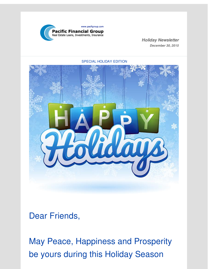

*Holiday Newsletter December 30, 2015*



SPECIAL HOLIDAY EDITION

Dear Friends,

May Peace, Happiness and Prosperity be yours during this Holiday Season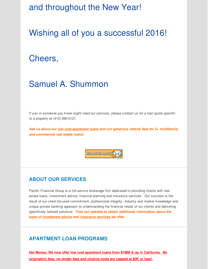### and throughout the New Year!

# Wishing all of you a successful 2016!

### Cheers,

## Samuel A. Shummon

*If you or someone you know might need our services, please contact us for a loan quote specific to a property at (415) 680-0121.*

*Ask us about our low cost apartment loans and our generous referral fees for 5+ multifamily and commercial real estate loans!*

Forward this email (

#### **ABOUT OUR SERVICES**

Pacific Financial Group is a full-service brokerage firm dedicated to providing clients with real estate loans, investment advice, financial planning and insurance services. Our success is the result of our client-focused commitment, professional integrity, industry and market knowledge and unique private banking approach to understanding the financial needs of our clients and delivering specifically tailored solutions. **Visit our website to obtain additional information about the types of [investment](http://r20.rs6.net/tn.jsp?f=0019UvrFBIX1i4IZbq41eezl6BSQ8ea74IgZPhIleB-Au3QuF7gwc9U_5A9A1j4qtf2WtZAmxQur8qfnMebHzIyL52-fQ2m801fFnt-B7KyzQqHyaBZwLch9iGEavLa2szcq_guWqmzT6_SHAf_7DZOK-eYCk2PnBP7B8t1P1EtyAT5gWxKmSgxvp_gStsvqsUS22ed97mrgxo=&c=&ch=) advice and [insurance](http://r20.rs6.net/tn.jsp?f=0019UvrFBIX1i4IZbq41eezl6BSQ8ea74IgZPhIleB-Au3QuF7gwc9U_5A9A1j4qtf2-Hm_JzxroUyuJtX7PklUSTD0lOiGoi-2nPKtTx261LavrI7kLQsRc6j0VIIDD1OkfBej4StztHFn7qf5p9ah6ae5C3Nhq5wyjHKk_62rnU--uIEz3xHNurzXY9vhTJQl_YwS5wI_b9w=&c=&ch=) services we offer.**

#### **APARTMENT LOAN PROGRAMS**

**Hot Money: We now offer low cost apartment loans from \$1MM & up in California. No origination fees, no lender fees and closing costs are capped at \$2K or less!**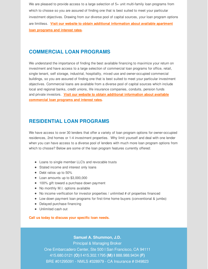We are pleased to provide access to a large selection of 5+ unit multi-family loan programs from which to choose so you are assured of finding one that is best suited to meet your particular investment objectives. Drawing from our diverse pool of capital sources, your loan program options are limitless. **Visit our website to obtain additional [information](http://r20.rs6.net/tn.jsp?f=0019UvrFBIX1i4IZbq41eezl6BSQ8ea74IgZPhIleB-Au3QuF7gwc9U_5A9A1j4qtf2n9pk1tOcMLzsL4KqQC26eg5vXS2ZSu7wZoK-7tfVFeKpwHTldwQEsYtBs3YISZ3XOWS3qIytLasF8GYl5GhX8FBnEsqjJdzU_156ys6a7D_w7NxiHJ7MjPiAaaOphq6px36jQfCGSFE=&c=&ch=) about available apartment loan programs and interest rates.**

#### **COMMERCIAL LOAN PROGRAMS**

We understand the importance of finding the best available financing to maximize your return on investment and have access to a large selection of commercial loan programs for office, retail, single tenant, self storage, industrial, hospitality, mixed use and owner-occupied commercial buildings, so you are assured of finding one that is best suited to meet your particular investment objectives. Commercial loans are available from a diverse pool of capital sources which include local and regional banks, credit unions, life insurance companies, conduits, pension funds and private investors. **Visit our website to obtain additional information about available [commercial](http://r20.rs6.net/tn.jsp?f=0019UvrFBIX1i4IZbq41eezl6BSQ8ea74IgZPhIleB-Au3QuF7gwc9U_5A9A1j4qtf2LIOMbzgTtKAmf2esgAzk1LsHNsBuZAfTs9F2sNkb-RuMtqXvyBz-blcNZyHaeK4m9i_R8dlBtEERtUDy0DMWMuk3DG2Nby7W3ZRrygGSS1w7uegNXGNVb8RQ-SjlcwU71oJ_uEPKR8Q=&c=&ch=) loan programs and interest rates.**

#### **RESIDENTIAL LOAN PROGRAMS**

We have access to over 30 lenders that offer a variety of loan program options for owner-occupied residences, 2nd homes or 1-4 investment properties. Why limit yourself and deal with one lender when you can have access to a diverse pool of lenders with much more loan program options from which to choose? Below are some of the loan program features currently offered:

- Loans to single member LLC's and revocable trusts
- Stated income and interest only loans
- Debt ratios up to 50%
- Loan amounts up to \$3,000,000
- 100% gift toward a purchase down payment
- No monthly M.I. options available
- No income verification for investor properties / unlimited # of properties financed
- Low down payment loan programs for first-time home buyers (conventional & jumbo)
- Delayed purchase financing
- Unlimited cash out

**Call us today to discuss your specific loan needs.**

**Samuel A. Shummon, J.D.**

Principal & Managing Broker One Embarcadero Center, Ste 500 I San Francisco, CA 94111 415.680.0121 **(O) I** 415.302.1795 **(M) I** 888.988.9434 **(F)** BRE #01295091 - NMLS #328979 - CA Insurance # 0I49823